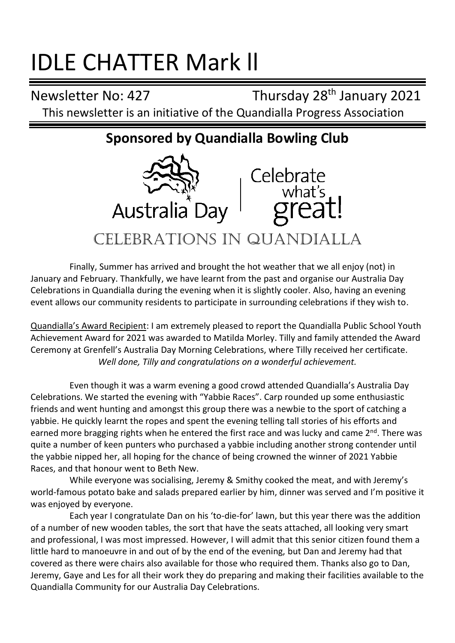# IDLE CHATTER Mark ll

Newsletter No: 427 Thursday 28<sup>th</sup> January 2021 This newsletter is an initiative of the Quandialla Progress Association

## **Sponsored by Quandialla Bowling Club**



Finally, Summer has arrived and brought the hot weather that we all enjoy (not) in January and February. Thankfully, we have learnt from the past and organise our Australia Day Celebrations in Quandialla during the evening when it is slightly cooler. Also, having an evening event allows our community residents to participate in surrounding celebrations if they wish to.

Quandialla's Award Recipient: I am extremely pleased to report the Quandialla Public School Youth Achievement Award for 2021 was awarded to Matilda Morley. Tilly and family attended the Award Ceremony at Grenfell's Australia Day Morning Celebrations, where Tilly received her certificate. *Well done, Tilly and congratulations on a wonderful achievement.*

Even though it was a warm evening a good crowd attended Quandialla's Australia Day Celebrations. We started the evening with "Yabbie Races". Carp rounded up some enthusiastic friends and went hunting and amongst this group there was a newbie to the sport of catching a yabbie. He quickly learnt the ropes and spent the evening telling tall stories of his efforts and earned more bragging rights when he entered the first race and was lucky and came 2<sup>nd</sup>. There was quite a number of keen punters who purchased a yabbie including another strong contender until the yabbie nipped her, all hoping for the chance of being crowned the winner of 2021 Yabbie Races, and that honour went to Beth New.

While everyone was socialising, Jeremy & Smithy cooked the meat, and with Jeremy's world-famous potato bake and salads prepared earlier by him, dinner was served and I'm positive it was enjoyed by everyone.

Each year I congratulate Dan on his 'to-die-for' lawn, but this year there was the addition of a number of new wooden tables, the sort that have the seats attached, all looking very smart and professional, I was most impressed. However, I will admit that this senior citizen found them a little hard to manoeuvre in and out of by the end of the evening, but Dan and Jeremy had that covered as there were chairs also available for those who required them. Thanks also go to Dan, Jeremy, Gaye and Les for all their work they do preparing and making their facilities available to the Quandialla Community for our Australia Day Celebrations.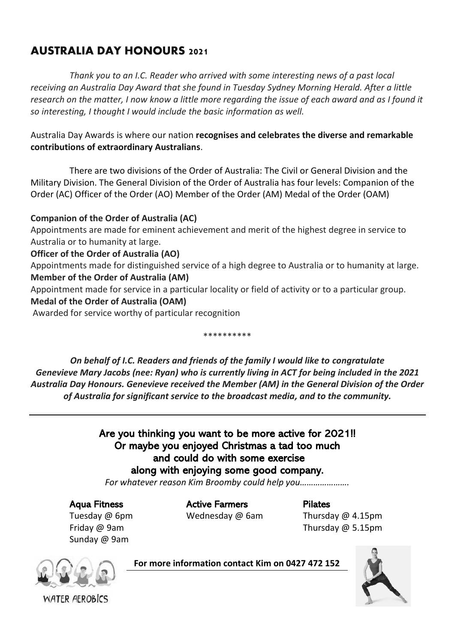### AUSTRALIA DAY HONOURS 2021

*Thank you to an I.C. Reader who arrived with some interesting news of a past local receiving an Australia Day Award that she found in Tuesday Sydney Morning Herald. After a little research on the matter, I now know a little more regarding the issue of each award and as I found it so interesting, I thought I would include the basic information as well.*

Australia Day Awards is where our nation **recognises and celebrates the diverse and remarkable contributions of extraordinary Australians**.

There are two divisions of the Order of Australia: The Civil or General Division and the Military Division. The General Division of the Order of Australia has four levels: Companion of the Order (AC) Officer of the Order (AO) Member of the Order (AM) Medal of the Order (OAM)

#### **Companion of the Order of Australia (AC)**

Appointments are made for eminent achievement and merit of the highest degree in service to Australia or to humanity at large.

#### **Officer of the Order of Australia (AO)**

Appointments made for distinguished service of a high degree to Australia or to humanity at large. **Member of the Order of Australia (AM)**

Appointment made for service in a particular locality or field of activity or to a particular group.

#### **Medal of the Order of Australia (OAM)**

Awarded for service worthy of particular recognition

\*\*\*\*\*\*\*\*\*\*

*On behalf of I.C. Readers and friends of the family I would like to congratulate Genevieve Mary Jacobs (nee: Ryan) who is currently living in ACT for being included in the 2021 Australia Day Honours. Genevieve received the Member (AM) in the General Division of the Order of Australia for significant service to the broadcast media, and to the community.*

### Are you thinking you want to be more active for 2021!! Or maybe you enjoyed Christmas a tad too much and could do with some exercise along with enjoying some good company.

*For whatever reason Kim Broomby could help you………………….*

Aqua Fitness Active Farmers Pilates

Tuesday @ 6pm Wednesday @ 6am Thursday @ 4.15pm Friday @ 9am Thursday @ 5.15pm

Sunday @ 9am



**For more information contact Kim on 0427 472 152**



WATER AFROBICS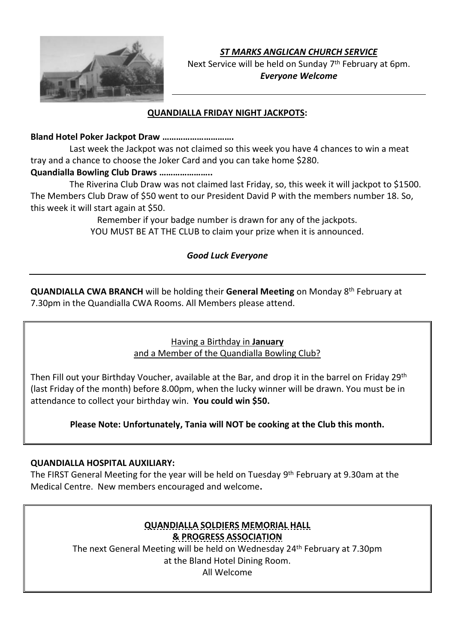

*ST MARKS ANGLICAN CHURCH SERVICE*

Next Service will be held on Sunday 7<sup>th</sup> February at 6pm. *Everyone Welcome*

#### **QUANDIALLA FRIDAY NIGHT JACKPOTS:**

#### **Bland Hotel Poker Jackpot Draw ………………………….**

Last week the Jackpot was not claimed so this week you have 4 chances to win a meat tray and a chance to choose the Joker Card and you can take home \$280.

#### **Quandialla Bowling Club Draws …………………..**

The Riverina Club Draw was not claimed last Friday, so, this week it will jackpot to \$1500. The Members Club Draw of \$50 went to our President David P with the members number 18. So, this week it will start again at \$50.

> Remember if your badge number is drawn for any of the jackpots. YOU MUST BE AT THE CLUB to claim your prize when it is announced.

#### *Good Luck Everyone*

**QUANDIALLA CWA BRANCH** will be holding their **General Meeting** on Monday 8 th February at 7.30pm in the Quandialla CWA Rooms. All Members please attend.

#### Having a Birthday in **January**  and a Member of the Quandialla Bowling Club?

Then Fill out your Birthday Voucher, available at the Bar, and drop it in the barrel on Friday 29<sup>th</sup> (last Friday of the month) before 8.00pm, when the lucky winner will be drawn. You must be in attendance to collect your birthday win. **You could win \$50.**

**Please Note: Unfortunately, Tania will NOT be cooking at the Club this month.**

#### **QUANDIALLA HOSPITAL AUXILIARY:**

The FIRST General Meeting for the year will be held on Tuesday 9<sup>th</sup> February at 9.30am at the Medical Centre. New members encouraged and welcome**.**

#### **QUANDIALLA SOLDIERS MEMORIAL HALL & PROGRESS ASSOCIATION**

The next General Meeting will be held on Wednesday 24 th February at 7.30pm at the Bland Hotel Dining Room. All Welcome